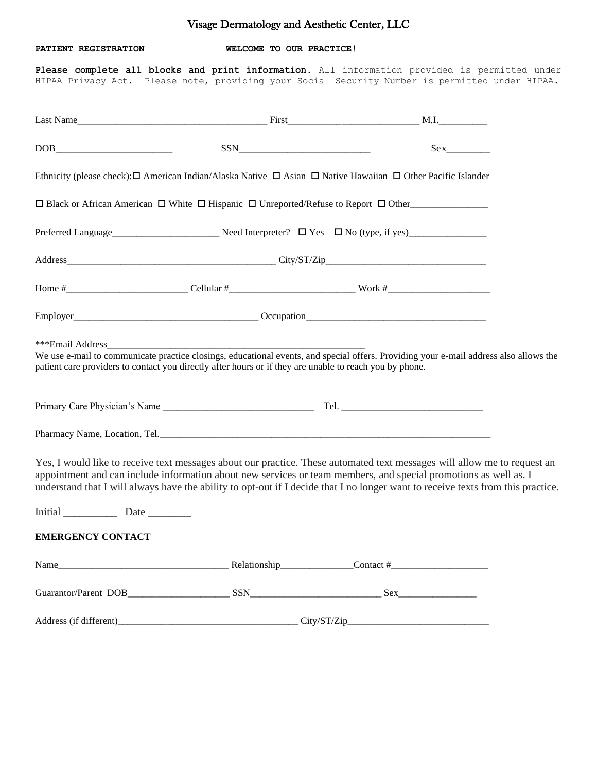## Visage Dermatology and Aesthetic Center, LLC

**PATIENT REGISTRATION WELCOME TO OUR PRACTICE!**

**Please complete all blocks and print information**. All information provided is permitted under HIPAA Privacy Act. Please note, providing your Social Security Number is permitted under HIPAA.

|                                                                                                         | $SSN$ | Sex                                                                                                                                                                                                                                                                                                                                                                              |  |
|---------------------------------------------------------------------------------------------------------|-------|----------------------------------------------------------------------------------------------------------------------------------------------------------------------------------------------------------------------------------------------------------------------------------------------------------------------------------------------------------------------------------|--|
|                                                                                                         |       | Ethnicity (please check): $\Box$ American Indian/Alaska Native $\Box$ Asian $\Box$ Native Hawaiian $\Box$ Other Pacific Islander                                                                                                                                                                                                                                                 |  |
|                                                                                                         |       | $\Box$ Black or African American $\Box$ White $\Box$ Hispanic $\Box$ Unreported/Refuse to Report $\Box$ Other                                                                                                                                                                                                                                                                    |  |
|                                                                                                         |       |                                                                                                                                                                                                                                                                                                                                                                                  |  |
|                                                                                                         |       |                                                                                                                                                                                                                                                                                                                                                                                  |  |
|                                                                                                         |       |                                                                                                                                                                                                                                                                                                                                                                                  |  |
|                                                                                                         |       |                                                                                                                                                                                                                                                                                                                                                                                  |  |
| patient care providers to contact you directly after hours or if they are unable to reach you by phone. |       | We use e-mail to communicate practice closings, educational events, and special offers. Providing your e-mail address also allows the                                                                                                                                                                                                                                            |  |
|                                                                                                         |       |                                                                                                                                                                                                                                                                                                                                                                                  |  |
|                                                                                                         |       |                                                                                                                                                                                                                                                                                                                                                                                  |  |
|                                                                                                         |       | Yes, I would like to receive text messages about our practice. These automated text messages will allow me to request an<br>appointment and can include information about new services or team members, and special promotions as well as. I<br>understand that I will always have the ability to opt-out if I decide that I no longer want to receive texts from this practice. |  |
|                                                                                                         |       |                                                                                                                                                                                                                                                                                                                                                                                  |  |
| <b>EMERGENCY CONTACT</b>                                                                                |       |                                                                                                                                                                                                                                                                                                                                                                                  |  |
|                                                                                                         |       | Name $\qquad \qquad \text{Real of the following relation}$                                                                                                                                                                                                                                                                                                                       |  |
|                                                                                                         |       |                                                                                                                                                                                                                                                                                                                                                                                  |  |
|                                                                                                         |       |                                                                                                                                                                                                                                                                                                                                                                                  |  |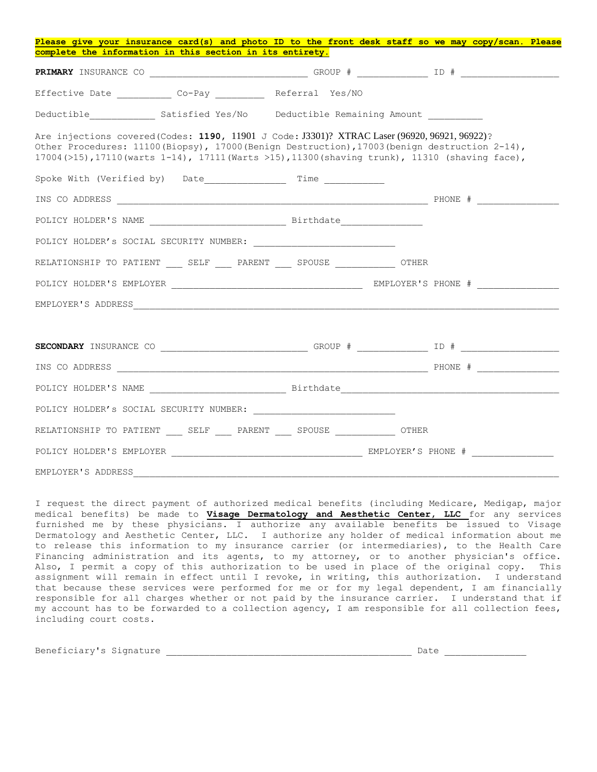| Please give your insurance card(s) and photo ID to the front desk staff so we may copy/scan. Please                                                                                                                                                                                                 |  |
|-----------------------------------------------------------------------------------------------------------------------------------------------------------------------------------------------------------------------------------------------------------------------------------------------------|--|
| complete the information in this section in its entirety.                                                                                                                                                                                                                                           |  |
|                                                                                                                                                                                                                                                                                                     |  |
| Effective Date ____________ Co-Pay __________ Referral Yes/NO                                                                                                                                                                                                                                       |  |
|                                                                                                                                                                                                                                                                                                     |  |
| Are injections covered (Codes: 1190, 11901 J Code: J3301)? XTRAC Laser (96920, 96921, 96922)?<br>Other Procedures: 11100 (Biopsy), 17000 (Benign Destruction), 17003 (benign destruction 2-14),<br>17004 (>15), 17110 (warts 1-14), 17111 (Warts >15), 11300 (shaving trunk), 11310 (shaving face), |  |
|                                                                                                                                                                                                                                                                                                     |  |
|                                                                                                                                                                                                                                                                                                     |  |
|                                                                                                                                                                                                                                                                                                     |  |
|                                                                                                                                                                                                                                                                                                     |  |
| RELATIONSHIP TO PATIENT SELF PARENT SPOUSE OTHER                                                                                                                                                                                                                                                    |  |
|                                                                                                                                                                                                                                                                                                     |  |
|                                                                                                                                                                                                                                                                                                     |  |
|                                                                                                                                                                                                                                                                                                     |  |
|                                                                                                                                                                                                                                                                                                     |  |
|                                                                                                                                                                                                                                                                                                     |  |
|                                                                                                                                                                                                                                                                                                     |  |
|                                                                                                                                                                                                                                                                                                     |  |
| RELATIONSHIP TO PATIENT _____ SELF _____ PARENT _____ SPOUSE _______________ OTHER                                                                                                                                                                                                                  |  |
|                                                                                                                                                                                                                                                                                                     |  |
| EMPLOYER'S ADDRESS                                                                                                                                                                                                                                                                                  |  |

I request the direct payment of authorized medical benefits (including Medicare, Medigap, major medical benefits) be made to **Visage Dermatology and Aesthetic Center, LLC** for any services furnished me by these physicians. I authorize any available benefits be issued to Visage Dermatology and Aesthetic Center, LLC. I authorize any holder of medical information about me to release this information to my insurance carrier (or intermediaries), to the Health Care Financing administration and its agents, to my attorney, or to another physician's office. Also, I permit a copy of this authorization to be used in place of the original copy. This assignment will remain in effect until I revoke, in writing, this authorization. I understand that because these services were performed for me or for my legal dependent, I am financially responsible for all charges whether or not paid by the insurance carrier. I understand that if my account has to be forwarded to a collection agency, I am responsible for all collection fees, including court costs.

| Beneficiary's Signature | Date |
|-------------------------|------|
|                         |      |